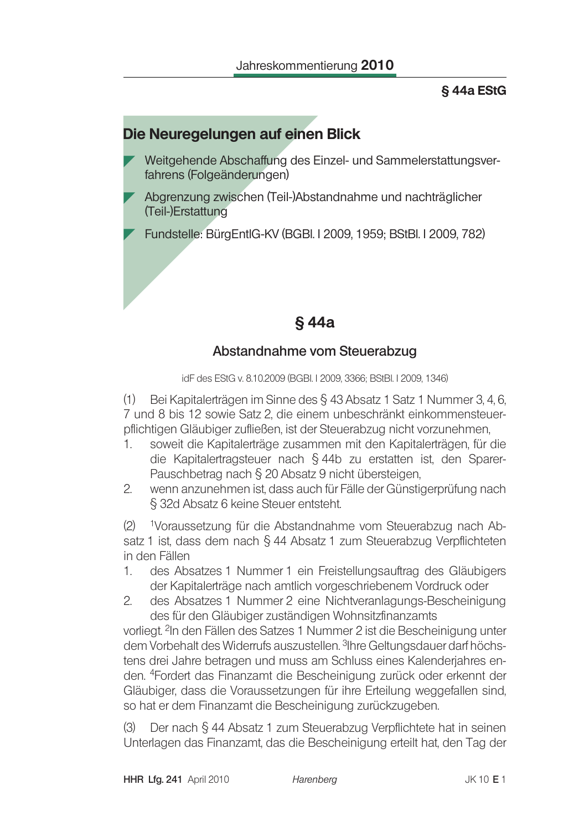#### **S44a EStG**

## Die Neuregelungen auf einen Blick

- Weitgehende Abschaffung des Einzel- und Sammelerstattungsverfahrens (Folgeänderungen)
- Abgrenzung zwischen (Teil-)Abstandnahme und nachträglicher (Teil-)Erstattung

Fundstelle: BürgEntlG-KV (BGBI. I 2009, 1959; BStBI. I 2009, 782)

# §44a

### Abstandnahme vom Steuerabzug

idF des EStG v. 8.10.2009 (BGBI. I 2009, 3366; BStBI. I 2009, 1346)

(1) Bei Kapitalerträgen im Sinne des § 43 Absatz 1 Satz 1 Nummer 3, 4, 6, 7 und 8 bis 12 sowie Satz 2, die einem unbeschränkt einkommensteuerpflichtigen Gläubiger zufließen, ist der Steuerabzug nicht vorzunehmen.

- $\mathbf{1}$ soweit die Kapitalerträge zusammen mit den Kapitalerträgen, für die die Kapitalertragsteuer nach § 44b zu erstatten ist, den Sparer-Pauschbetrag nach § 20 Absatz 9 nicht übersteigen,
- wenn anzunehmen ist, dass auch für Fälle der Günstigerprüfung nach  $2^{\circ}$ § 32d Absatz 6 keine Steuer entsteht.

 $(2)$ <sup>1</sup>Voraussetzung für die Abstandnahme vom Steuerabzug nach Absatz 1 ist, dass dem nach § 44 Absatz 1 zum Steuerabzug Verpflichteten in den Fällen

- $1.$ des Absatzes 1 Nummer 1 ein Freistellungsauftrag des Gläubigers der Kapitalerträge nach amtlich vorgeschriebenem Vordruck oder
- $2.$ des Absatzes 1 Nummer 2 eine Nichtveranlagungs-Bescheinigung des für den Gläubiger zuständigen Wohnsitzfinanzamts

vorliegt. <sup>2</sup>In den Fällen des Satzes 1 Nummer 2 ist die Bescheinigung unter dem Vorbehalt des Widerrufs auszustellen. 3Ihre Geltungsdauer darf höchstens drei Jahre betragen und muss am Schluss eines Kalenderjahres enden. <sup>4</sup>Fordert das Finanzamt die Bescheinigung zurück oder erkennt der Gläubiger, dass die Voraussetzungen für ihre Erteilung weggefallen sind, so hat er dem Finanzamt die Bescheinigung zurückzugeben.

Der nach § 44 Absatz 1 zum Steuerabzug Verpflichtete hat in seinen  $(3)$ Unterlagen das Finanzamt, das die Bescheinigung erteilt hat, den Tag der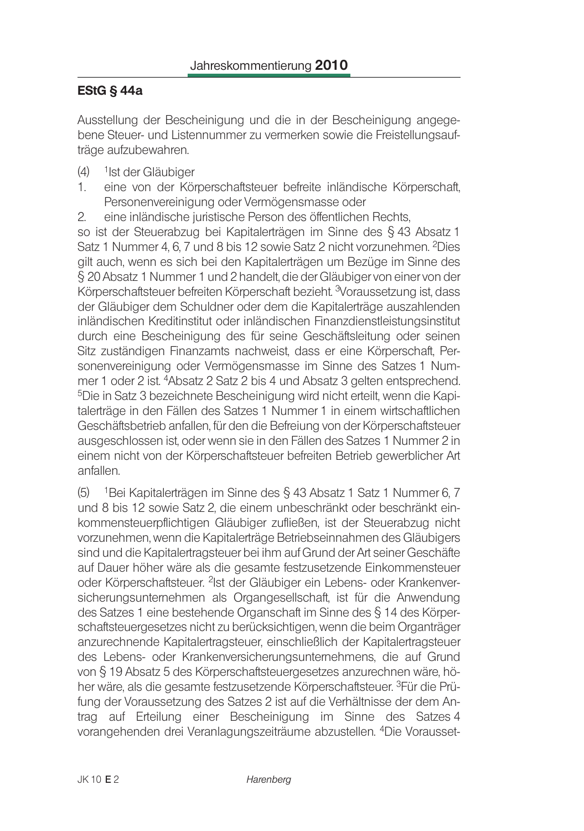### EStG  $§$  44a

Ausstellung der Bescheinigung und die in der Bescheinigung angegebene Steuer- und Listennummer zu vermerken sowie die Freistellungsaufträge aufzubewahren.

- $(4)$ <sup>1</sup>lst der Gläubiger
- eine von der Körperschaftsteuer befreite inländische Körperschaft, 1. Personenvereinigung oder Vermögensmasse oder
- eine inländische juristische Person des öffentlichen Rechts, 2.

so ist der Steuerabzug bei Kapitalerträgen im Sinne des § 43 Absatz 1 Satz 1 Nummer 4, 6, 7 und 8 bis 12 sowie Satz 2 nicht vorzunehmen. <sup>2</sup>Dies gilt auch, wenn es sich bei den Kapitalerträgen um Bezüge im Sinne des § 20 Absatz 1 Nummer 1 und 2 handelt, die der Gläubiger von einer von der Körperschaftsteuer befreiten Körperschaft bezieht. <sup>3</sup>Voraussetzung ist, dass der Gläubiger dem Schuldner oder dem die Kapitalerträge auszahlenden inländischen Kreditinstitut oder inländischen Finanzdienstleistungsinstitut durch eine Bescheinigung des für seine Geschäftsleitung oder seinen Sitz zuständigen Finanzamts nachweist, dass er eine Körperschaft, Personenvereinigung oder Vermögensmasse im Sinne des Satzes 1 Nummer 1 oder 2 ist. <sup>4</sup>Absatz 2 Satz 2 bis 4 und Absatz 3 gelten entsprechend. <sup>5</sup>Die in Satz 3 bezeichnete Bescheinigung wird nicht erteilt, wenn die Kapitalerträge in den Fällen des Satzes 1 Nummer 1 in einem wirtschaftlichen Geschäftsbetrieb anfallen, für den die Befreiung von der Körperschaftsteuer ausgeschlossen ist, oder wenn sie in den Fällen des Satzes 1 Nummer 2 in einem nicht von der Körperschaftsteuer befreiten Betrieb gewerblicher Art anfallen.

 $(5)$ <sup>1</sup>Bei Kapitalerträgen im Sinne des § 43 Absatz 1 Satz 1 Nummer 6, 7 und 8 bis 12 sowie Satz 2, die einem unbeschränkt oder beschränkt einkommensteuerpflichtigen Gläubiger zufließen, ist der Steuerabzug nicht vorzunehmen, wenn die Kapitalerträge Betriebseinnahmen des Gläubigers sind und die Kapitalertragsteuer bei ihm auf Grund der Art seiner Geschäfte auf Dauer höher wäre als die gesamte festzusetzende Einkommensteuer oder Körperschaftsteuer. <sup>2</sup>Ist der Gläubiger ein Lebens- oder Krankenversicherungsunternehmen als Organgesellschaft, ist für die Anwendung des Satzes 1 eine bestehende Organschaft im Sinne des § 14 des Körperschaftsteuergesetzes nicht zu berücksichtigen, wenn die beim Organträger anzurechnende Kapitalertragsteuer, einschließlich der Kapitalertragsteuer des Lebens- oder Krankenversicherungsunternehmens, die auf Grund von § 19 Absatz 5 des Körperschaftsteuergesetzes anzurechnen wäre, höher wäre, als die gesamte festzusetzende Körperschaftsteuer. <sup>3</sup>Für die Prüfung der Voraussetzung des Satzes 2 ist auf die Verhältnisse der dem Antrag auf Erteilung einer Bescheinigung im Sinne des Satzes 4 vorangehenden drei Veranlagungszeiträume abzustellen. <sup>4</sup>Die Vorausset-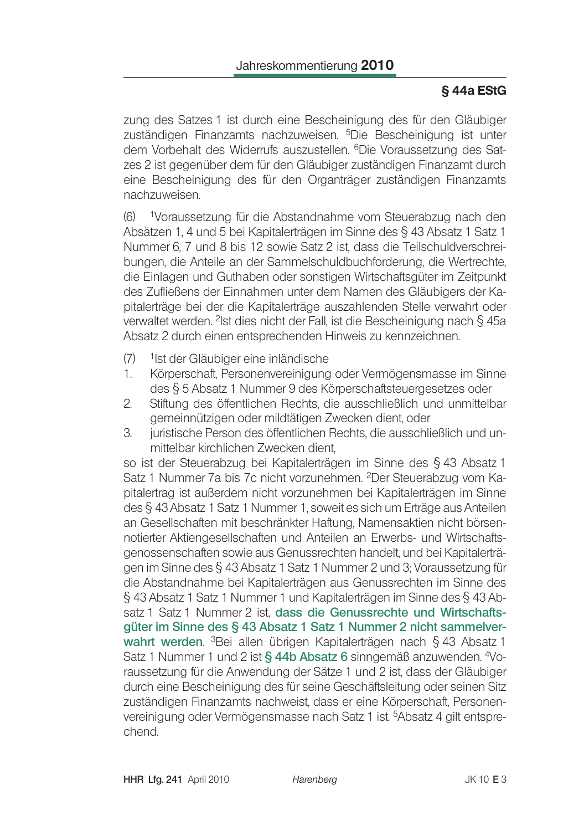### §44a EStG

zung des Satzes 1 ist durch eine Bescheinigung des für den Gläubiger zuständigen Finanzamts nachzuweisen. <sup>5</sup>Die Bescheinigung ist unter dem Vorbehalt des Widerrufs auszustellen. 6Die Voraussetzung des Satzes 2 ist gegenüber dem für den Gläubiger zuständigen Finanzamt durch eine Bescheinigung des für den Organträger zuständigen Finanzamts nachzuweisen.

1Voraussetzung für die Abstandnahme vom Steuerabzug nach den  $(6)$ Absätzen 1, 4 und 5 bei Kapitalerträgen im Sinne des § 43 Absatz 1 Satz 1 Nummer 6, 7 und 8 bis 12 sowie Satz 2 ist, dass die Teilschuldverschreibungen, die Anteile an der Sammelschuldbuchforderung, die Wertrechte, die Einlagen und Guthaben oder sonstigen Wirtschaftsgüter im Zeitpunkt des Zufließens der Einnahmen unter dem Namen des Gläubigers der Kapitalerträge bei der die Kapitalerträge auszahlenden Stelle verwahrt oder verwaltet werden. <sup>2</sup>Ist dies nicht der Fall, ist die Bescheinigung nach § 45a Absatz 2 durch einen entsprechenden Hinweis zu kennzeichnen.

- $(7)$ <sup>1</sup>lst der Gläubiger eine inländische
- 1. Körperschaft, Personenvereinigung oder Vermögensmasse im Sinne des § 5 Absatz 1 Nummer 9 des Körperschaftsteuergesetzes oder
- $2.$ Stiftung des öffentlichen Rechts, die ausschließlich und unmittelbar gemeinnützigen oder mildtätigen Zwecken dient, oder
- juristische Person des öffentlichen Rechts, die ausschließlich und un-3. mittelbar kirchlichen Zwecken dient.

so ist der Steuerabzug bei Kapitalerträgen im Sinne des § 43 Absatz 1 Satz 1 Nummer 7a bis 7c nicht vorzunehmen. <sup>2</sup>Der Steuerabzug vom Kapitalertrag ist außerdem nicht vorzunehmen bei Kapitalerträgen im Sinne des § 43 Absatz 1 Satz 1 Nummer 1, soweit es sich um Erträge aus Anteilen an Gesellschaften mit beschränkter Haftung. Namensaktien nicht börsennotierter Aktiengesellschaften und Anteilen an Erwerbs- und Wirtschaftsgenossenschaften sowie aus Genussrechten handelt, und bei Kapitalerträgen im Sinne des § 43 Absatz 1 Satz 1 Nummer 2 und 3: Voraussetzung für die Abstandnahme bei Kapitalerträgen aus Genussrechten im Sinne des § 43 Absatz 1 Satz 1 Nummer 1 und Kapitalerträgen im Sinne des § 43 Absatz 1 Satz 1 Nummer 2 ist, dass die Genussrechte und Wirtschaftsgüter im Sinne des § 43 Absatz 1 Satz 1 Nummer 2 nicht sammelverwahrt werden. <sup>3</sup>Bei allen übrigen Kapitalerträgen nach § 43 Absatz 1 Satz 1 Nummer 1 und 2 ist § 44b Absatz 6 sinngemäß anzuwenden. 4Voraussetzung für die Anwendung der Sätze 1 und 2 ist, dass der Gläubiger durch eine Bescheinigung des für seine Geschäftsleitung oder seinen Sitz zuständigen Finanzamts nachweist, dass er eine Körperschaft, Personenvereinigung oder Vermögensmasse nach Satz 1 ist. <sup>5</sup>Absatz 4 gilt entsprechend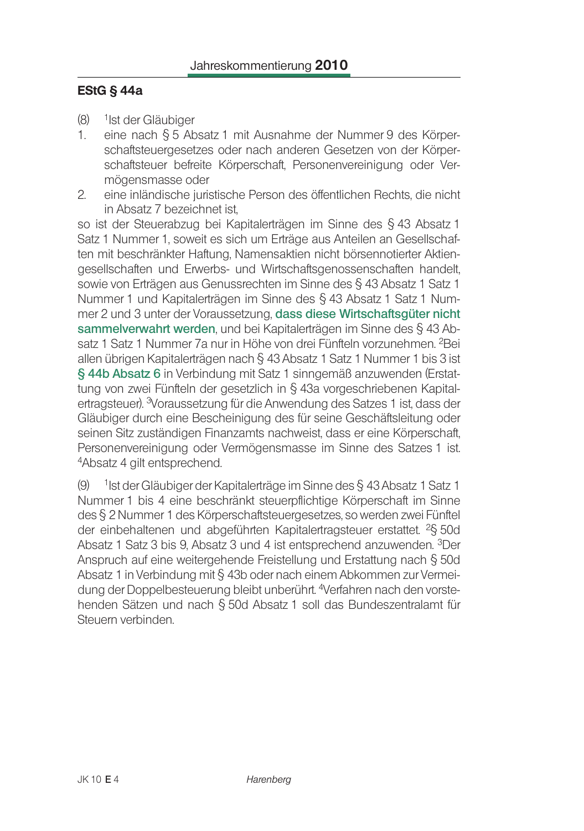#### **EStG § 44a**

- $(8)$ <sup>1</sup>Ist der Gläubiger
- $1.$ eine nach § 5 Absatz 1 mit Ausnahme der Nummer 9 des Körperschaftsteuergesetzes oder nach anderen Gesetzen von der Körperschaftsteuer befreite Körperschaft, Personenvereinigung oder Vermögensmasse oder
- $2.$ eine inländische juristische Person des öffentlichen Rechts, die nicht in Absatz 7 bezeichnet ist,

so ist der Steuerabzug bei Kapitalerträgen im Sinne des § 43 Absatz 1 Satz 1 Nummer 1, soweit es sich um Erträge aus Anteilen an Gesellschaften mit beschränkter Haftung. Namensaktien nicht börsennotierter Aktiengesellschaften und Erwerbs- und Wirtschaftsgenossenschaften handelt, sowie von Erträgen aus Genussrechten im Sinne des § 43 Absatz 1 Satz 1 Nummer 1 und Kapitalerträgen im Sinne des § 43 Absatz 1 Satz 1 Nummer 2 und 3 unter der Voraussetzung, dass diese Wirtschaftsgüter nicht sammelverwahrt werden, und bei Kapitalerträgen im Sinne des § 43 Absatz 1 Satz 1 Nummer 7a nur in Höhe von drei Fünfteln vorzunehmen. <sup>2</sup>Bei allen übrigen Kapitalerträgen nach § 43 Absatz 1 Satz 1 Nummer 1 bis 3 ist § 44b Absatz 6 in Verbindung mit Satz 1 sinngemäß anzuwenden (Erstattung von zwei Fünfteln der gesetzlich in § 43a vorgeschriebenen Kapitalertragsteuer). <sup>3</sup>Voraussetzung für die Anwendung des Satzes 1 ist, dass der Gläubiger durch eine Bescheinigung des für seine Geschäftsleitung oder seinen Sitz zuständigen Finanzamts nachweist, dass er eine Körperschaft, Personenvereinigung oder Vermögensmasse im Sinne des Satzes 1 ist. <sup>4</sup>Absatz 4 gilt entsprechend.

1 Ist der Gläubiger der Kapitalerträge im Sinne des § 43 Absatz 1 Satz 1  $(9)$ Nummer 1 bis 4 eine beschränkt steuerpflichtige Körperschaft im Sinne des § 2 Nummer 1 des Körperschaftsteuergesetzes, so werden zwei Fünftel der einbehaltenen und abgeführten Kapitalertragsteuer erstattet. <sup>2</sup>§ 50d Absatz 1 Satz 3 bis 9, Absatz 3 und 4 ist entsprechend anzuwenden. 3Der Anspruch auf eine weitergehende Freistellung und Erstattung nach § 50d Absatz 1 in Verbindung mit § 43b oder nach einem Abkommen zur Vermeidung der Doppelbesteuerung bleibt unberührt. <sup>4</sup>Verfahren nach den vorstehenden Sätzen und nach § 50d Absatz 1 soll das Bundeszentralamt für Steuern verbinden.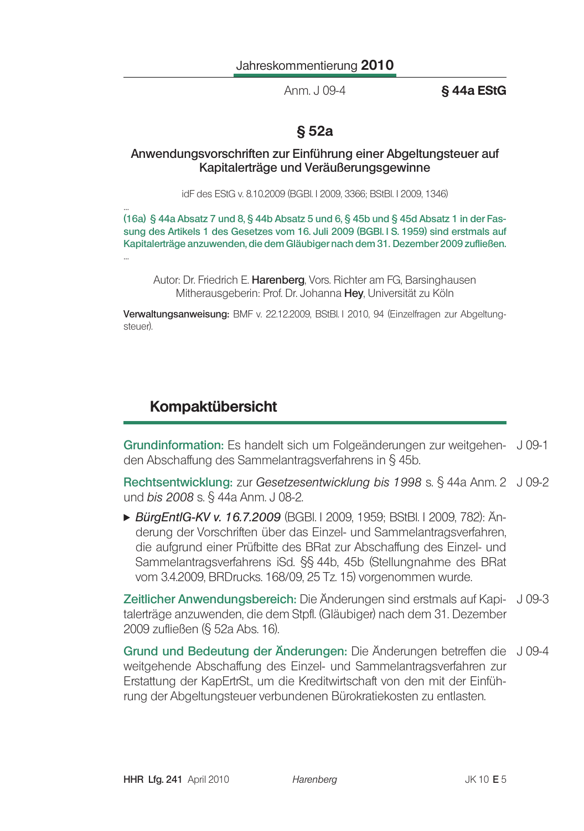Anm. J 09-4

**S44a EStG** 

# §52a

#### Anwendungsvorschriften zur Einführung einer Abgeltungsteuer auf Kapitalerträge und Veräußerungsgewinne

idF des EStG v. 8.10.2009 (BGBI, I 2009, 3366; BStBI, I 2009, 1346)

(16a) § 44a Absatz 7 und 8, § 44b Absatz 5 und 6, § 45b und § 45d Absatz 1 in der Fassung des Artikels 1 des Gesetzes vom 16. Juli 2009 (BGBI. I S. 1959) sind erstmals auf Kapitalerträge anzuwenden, die dem Gläubiger nach dem 31. Dezember 2009 zufließen.

Autor: Dr. Friedrich E. Harenberg, Vors. Richter am FG, Barsinghausen Mitherausgeberin: Prof. Dr. Johanna Hev. Universität zu Köln

Verwaltungsanweisung: BMF v. 22.12.2009, BStBl. I 2010, 94 (Einzelfragen zur Abgeltungsteuer).

# **Kompaktübersicht**

Grundinformation: Es handelt sich um Folgeänderungen zur weitgehen- J 09-1 den Abschaffung des Sammelantragsverfahrens in § 45b.

Rechtsentwicklung: zur Gesetzesentwicklung bis 1998 s. § 44a Anm. 2 J 09-2 und bis 2008 s. § 44a Anm. J 08-2.

▶ BürgEntlG-KV v. 16.7.2009 (BGBI. I 2009. 1959: BStBI. I 2009. 782): Änderung der Vorschriften über das Einzel- und Sammelantragsverfahren, die aufgrund einer Prüfbitte des BRat zur Abschaffung des Einzel- und Sammelantragsverfahrens iSd. §§ 44b, 45b (Stellungnahme des BRat vom 3.4.2009, BRDrucks. 168/09, 25 Tz. 15) vorgenommen wurde.

Zeitlicher Anwendungsbereich: Die Änderungen sind erstmals auf Kapi- J 09-3 talerträge anzuwenden, die dem Stpfl. (Gläubiger) nach dem 31. Dezember 2009 zufließen (§ 52a Abs. 16).

Grund und Bedeutung der Änderungen: Die Änderungen betreffen die J09-4 weitgehende Abschaffung des Einzel- und Sammelantragsverfahren zur Erstattung der KapErtrSt., um die Kreditwirtschaft von den mit der Einführung der Abgeltungsteuer verbundenen Bürokratiekosten zu entlasten.